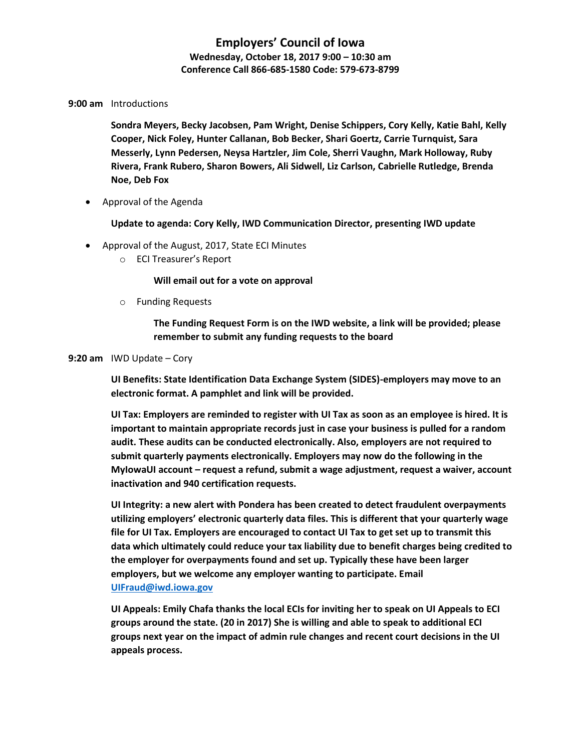## **Employers' Council of Iowa Wednesday, October 18, 2017 9:00 – 10:30 am Conference Call 866-685-1580 Code: 579-673-8799**

### **9:00 am** Introductions

**Sondra Meyers, Becky Jacobsen, Pam Wright, Denise Schippers, Cory Kelly, Katie Bahl, Kelly Cooper, Nick Foley, Hunter Callanan, Bob Becker, Shari Goertz, Carrie Turnquist, Sara Messerly, Lynn Pedersen, Neysa Hartzler, Jim Cole, Sherri Vaughn, Mark Holloway, Ruby Rivera, Frank Rubero, Sharon Bowers, Ali Sidwell, Liz Carlson, Cabrielle Rutledge, Brenda Noe, Deb Fox**

• Approval of the Agenda

**Update to agenda: Cory Kelly, IWD Communication Director, presenting IWD update**

- Approval of the August, 2017, State ECI Minutes
	- o ECI Treasurer's Report

**Will email out for a vote on approval**

o Funding Requests

**The Funding Request Form is on the IWD website, a link will be provided; please remember to submit any funding requests to the board**

#### **9:20 am** IWD Update – Cory

**UI Benefits: State Identification Data Exchange System (SIDES)-employers may move to an electronic format. A pamphlet and link will be provided.**

**UI Tax: Employers are reminded to register with UI Tax as soon as an employee is hired. It is important to maintain appropriate records just in case your business is pulled for a random audit. These audits can be conducted electronically. Also, employers are not required to submit quarterly payments electronically. Employers may now do the following in the MyIowaUI account – request a refund, submit a wage adjustment, request a waiver, account inactivation and 940 certification requests.**

**UI Integrity: a new alert with Pondera has been created to detect fraudulent overpayments utilizing employers' electronic quarterly data files. This is different that your quarterly wage file for UI Tax. Employers are encouraged to contact UI Tax to get set up to transmit this data which ultimately could reduce your tax liability due to benefit charges being credited to the employer for overpayments found and set up. Typically these have been larger employers, but we welcome any employer wanting to participate. Email [UIFraud@iwd.iowa.gov](mailto:UIFraud@iwd.iowa.gov)**

**UI Appeals: Emily Chafa thanks the local ECIs for inviting her to speak on UI Appeals to ECI groups around the state. (20 in 2017) She is willing and able to speak to additional ECI groups next year on the impact of admin rule changes and recent court decisions in the UI appeals process.**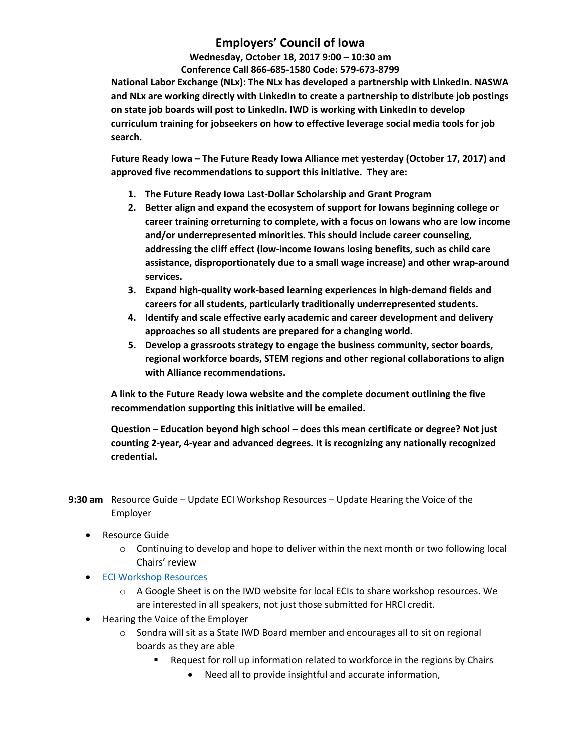# **Employers' Council of Iowa**

**Wednesday, October 18, 2017 9:00 – 10:30 am Conference Call 866-685-1580 Code: 579-673-8799** 

**National Labor Exchange (NLx): The NLx has developed a partnership with LinkedIn. NASWA and NLx are working directly with LinkedIn to create a partnership to distribute job postings on state job boards will post to LinkedIn. IWD is working with LinkedIn to develop curriculum training for jobseekers on how to effective leverage social media tools for job search.**

**Future Ready Iowa – The Future Ready Iowa Alliance met yesterday (October 17, 2017) and approved five recommendations to support this initiative. They are:**

- **1. The Future Ready Iowa Last-Dollar Scholarship and Grant Program**
- **2. Better align and expand the ecosystem of support for Iowans beginning college or career training orreturning to complete, with a focus on Iowans who are low income and/or underrepresented minorities. This should include career counseling, addressing the cliff effect (low‐income Iowans losing benefits, such as child care assistance, disproportionately due to a small wage increase) and other wrap‐around services.**
- **3. Expand high‐quality work‐based learning experiences in high‐demand fields and careers for all students, particularly traditionally underrepresented students.**
- **4. Identify and scale effective early academic and career development and delivery approaches so all students are prepared for a changing world.**
- **5. Develop a grassroots strategy to engage the business community, sector boards, regional workforce boards, STEM regions and other regional collaborations to align with Alliance recommendations.**

**A link to the Future Ready Iowa website and the complete document outlining the five recommendation supporting this initiative will be emailed.**

**Question – Education beyond high school – does this mean certificate or degree? Not just counting 2-year, 4-year and advanced degrees. It is recognizing any nationally recognized credential.**

**9:30 am** Resource Guide – Update ECI Workshop Resources – Update Hearing the Voice of the Employer

- Resource Guide
	- $\circ$  Continuing to develop and hope to deliver within the next month or two following local Chairs' review
- **•** [ECI Workshop Resources](https://docs.google.com/spreadsheets/d/1hngz0TMy3E0zLCIQzCqe5rFM-WFS_89pTgOKMqxOMG4/edit#gid=0)
	- o A Google Sheet is on the IWD website for local ECIs to share workshop resources. We are interested in all speakers, not just those submitted for HRCI credit.
- Hearing the Voice of the Employer
	- $\circ$  Sondra will sit as a State IWD Board member and encourages all to sit on regional boards as they are able
		- Request for roll up information related to workforce in the regions by Chairs
			- Need all to provide insightful and accurate information,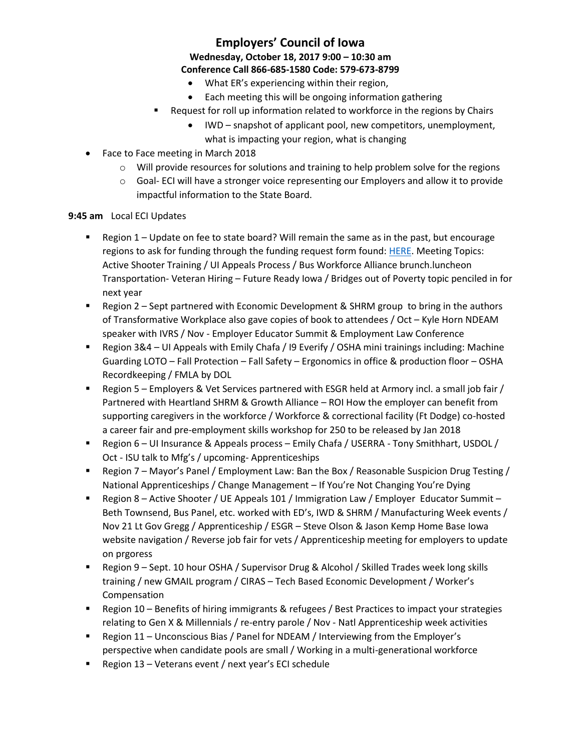## **Employers' Council of Iowa Wednesday, October 18, 2017 9:00 – 10:30 am Conference Call 866-685-1580 Code: 579-673-8799**

- What ER's experiencing within their region,
- Each meeting this will be ongoing information gathering
- Request for roll up information related to workforce in the regions by Chairs
	- IWD snapshot of applicant pool, new competitors, unemployment, what is impacting your region, what is changing
- Face to Face meeting in March 2018
	- o Will provide resources for solutions and training to help problem solve for the regions
	- $\circ$  Goal-ECI will have a stronger voice representing our Employers and allow it to provide impactful information to the State Board.

### **9:45 am** Local ECI Updates

- Region 1 Update on fee to state board? Will remain the same as in the past, but encourage regions to ask for funding through the funding request form found: [HERE.](https://docs.google.com/forms/d/e/1FAIpQLScBL2QjKqCIQrUQ37bnQ0bfPdSaIoWirOXxavZzl-uC_IweLQ/viewform?usp=sf_link) Meeting Topics: Active Shooter Training / UI Appeals Process / Bus Workforce Alliance brunch.luncheon Transportation- Veteran Hiring – Future Ready Iowa / Bridges out of Poverty topic penciled in for next year
- **EX** Region 2 Sept partnered with Economic Development & SHRM group to bring in the authors of Transformative Workplace also gave copies of book to attendees / Oct – Kyle Horn NDEAM speaker with IVRS / Nov - Employer Educator Summit & Employment Law Conference
- Region 3&4 UI Appeals with Emily Chafa / I9 Everify / OSHA mini trainings including: Machine Guarding LOTO – Fall Protection – Fall Safety – Ergonomics in office & production floor – OSHA Recordkeeping / FMLA by DOL
- Region 5 Employers & Vet Services partnered with ESGR held at Armory incl. a small job fair / Partnered with Heartland SHRM & Growth Alliance – ROI How the employer can benefit from supporting caregivers in the workforce / Workforce & correctional facility (Ft Dodge) co-hosted a career fair and pre-employment skills workshop for 250 to be released by Jan 2018
- Region 6 UI Insurance & Appeals process Emily Chafa / USERRA Tony Smithhart, USDOL / Oct - ISU talk to Mfg's / upcoming- Apprenticeships
- **Region 7 Mayor's Panel / Employment Law: Ban the Box / Reasonable Suspicion Drug Testing /** National Apprenticeships / Change Management – If You're Not Changing You're Dying
- Region 8 Active Shooter / UE Appeals 101 / Immigration Law / Employer Educator Summit Beth Townsend, Bus Panel, etc. worked with ED's, IWD & SHRM / Manufacturing Week events / Nov 21 Lt Gov Gregg / Apprenticeship / ESGR – Steve Olson & Jason Kemp Home Base Iowa website navigation / Reverse job fair for vets / Apprenticeship meeting for employers to update on prgoress
- Region 9 Sept. 10 hour OSHA / Supervisor Drug & Alcohol / Skilled Trades week long skills training / new GMAIL program / CIRAS – Tech Based Economic Development / Worker's Compensation
- Region 10 Benefits of hiring immigrants & refugees / Best Practices to impact your strategies relating to Gen X & Millennials / re-entry parole / Nov - Natl Apprenticeship week activities
- Region 11 Unconscious Bias / Panel for NDEAM / Interviewing from the Employer's perspective when candidate pools are small / Working in a multi-generational workforce
- Region 13 Veterans event / next year's ECI schedule